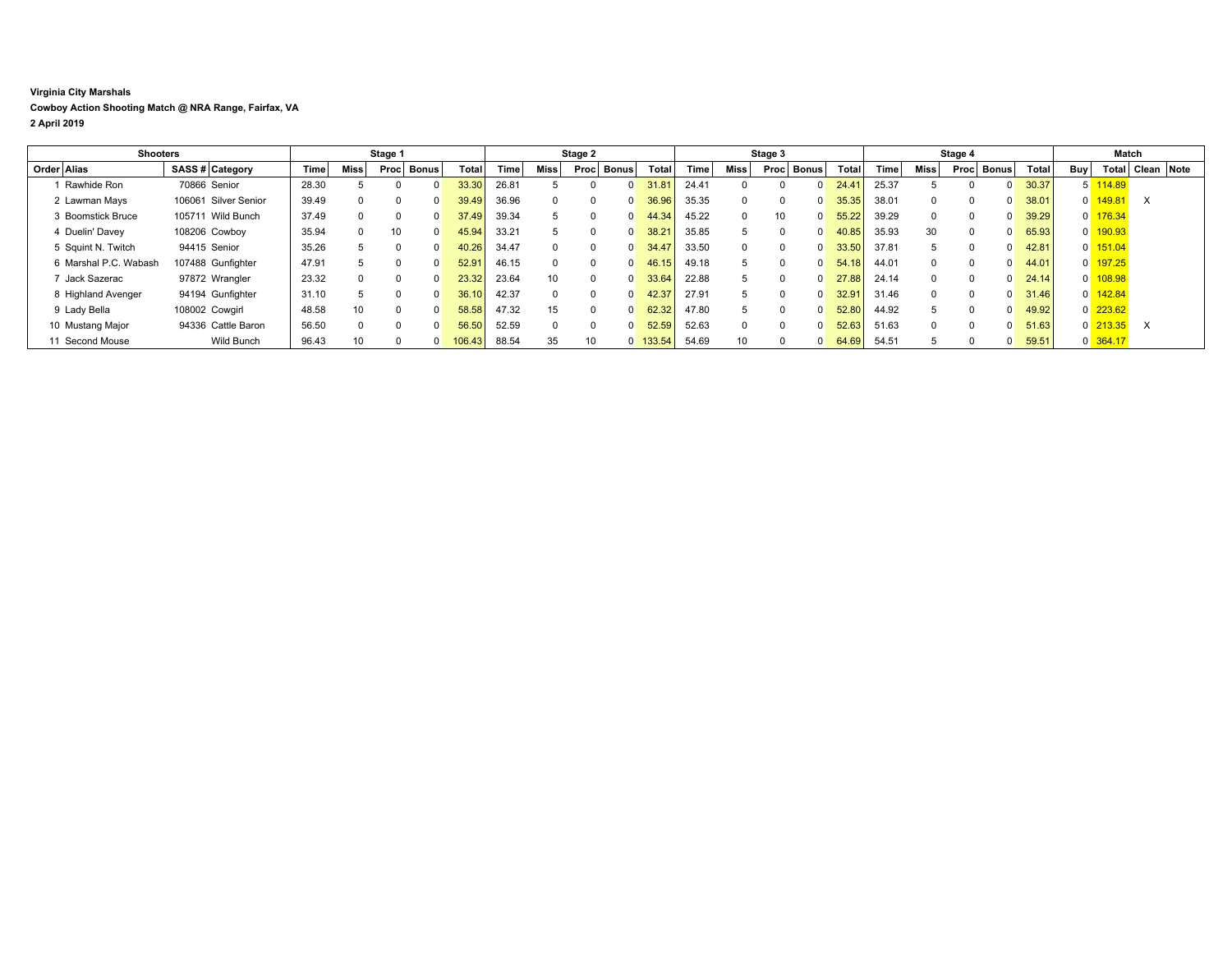## **Virginia City Marshals Cowboy Action Shooting Match @ NRA Range, Fairfax, VA 2 April 2019**

| <b>Shooters</b> |                       |  | Stage 1              |       |          |                      | Stage 2 |              |             |                 | Stage 3  |              |        |       | Stage 4  |      |              |                | Match |          |      |              |              |     |                       |                  |  |
|-----------------|-----------------------|--|----------------------|-------|----------|----------------------|---------|--------------|-------------|-----------------|----------|--------------|--------|-------|----------|------|--------------|----------------|-------|----------|------|--------------|--------------|-----|-----------------------|------------------|--|
|                 | Order Alias           |  | SASS # Category      | Time  | Miss     | <b>Bonus</b><br>Proc |         | <b>Total</b> | <b>Time</b> | Miss I          | Proc     | Bonus        | Total  | Time  | Miss     | Proc | <b>Bonus</b> | Total          | Time  | Miss     | Proc | <b>Bonus</b> | <b>Total</b> | Buy |                       | Total Clean Note |  |
|                 | Rawhide Ron           |  | 70866 Senior         | 28.30 |          |                      |         | 33.30        | 26.81       |                 |          |              | 31.8'  | 24.41 |          |      |              | $24.4^{\circ}$ | 25.37 |          |      |              | 30.37        |     | $5 \overline{114.89}$ |                  |  |
|                 | 2 Lawman Mays         |  | 106061 Silver Senior | 39.49 |          |                      |         | 39.49        | 36.96       |                 |          | <sup>0</sup> | 36.96  | 35.35 | $\Omega$ |      |              | 35.35          | 38.01 | $\Omega$ |      |              | 38.01        |     | $0$ 149.81            | $\times$         |  |
|                 | 3 Boomstick Bruce     |  | 105711 Wild Bunch    | 37.49 | $\Omega$ |                      |         | 37.49        | 39.34       | 5               |          | <sup>0</sup> | 44.34  | 45.22 | $\Omega$ | 10   | 0            | 55.22          | 39.29 | $\Omega$ |      |              | 39.29        |     | $0 \overline{176.34}$ |                  |  |
|                 | 4 Duelin' Davev       |  | 108206 Cowboy        | 35.94 | U        | 10                   |         | 45.94        | 33.21       | 5               |          | <sup>0</sup> | 38.21  | 35.85 | 5        |      | 0            | 40.85          | 35.93 | 30       |      |              | 65.93        |     | 0 190.93              |                  |  |
|                 | 5 Squint N. Twitch    |  | 94415 Senior         | 35.26 |          |                      |         | 40.26        | 34.47       |                 |          | <sup>0</sup> | 34.47  | 33.50 | $\Omega$ |      |              | 33.50          | 37.81 |          |      |              | 42.81        |     | $0 \overline{151.04}$ |                  |  |
|                 | 6 Marshal P.C. Wabash |  | 107488 Gunfighter    | 47.91 |          |                      |         | 52.91        | 46.15       |                 |          | $\Omega$     | 46.15  | 49.18 | 5        |      | $\Omega$     | 54.18          | 44.01 | $\Omega$ |      |              | 44.01        |     | 0 197.25              |                  |  |
|                 | 7 Jack Sazerac        |  | 97872 Wrangler       | 23.32 |          |                      |         | 23.32        | 23.64       | 10 <sup>1</sup> | $\Omega$ | $\Omega$     | 33.64  | 22.88 | 5        |      | <sup>0</sup> | 27.88          | 24.14 | $\Omega$ |      |              | 24.14        |     | $0$ 108.98            |                  |  |
|                 | 8 Highland Avenger    |  | 94194 Gunfighter     | 31.10 |          |                      |         | 36.10        | 42.37       |                 |          | <sup>n</sup> | 42.37  | 27.91 | 5        |      |              | 32.91          | 31.46 | $\Omega$ |      |              | 31.46        |     | $0 \overline{142.84}$ |                  |  |
|                 | 9 Lady Bella          |  | 108002 Cowgirl       | 48.58 | 10       |                      |         | 58.58        | 47.32       | 15              |          | <sup>0</sup> | 62.32  | 47.80 | 5        |      | $\Omega$     | 52.80          | 44.92 |          |      |              | 49.92        |     | $0\overline{223.62}$  |                  |  |
|                 | 10 Mustang Major      |  | 94336 Cattle Baron   | 56.50 | $\Omega$ |                      |         | 56.50        | 52.59       |                 |          | <sup>0</sup> | 52.59  | 52.63 | $\Omega$ |      |              | 52.63          | 51.63 | $\Omega$ |      |              | 51.63        |     | $0\overline{213.35}$  | $\times$         |  |
|                 | 11 Second Mouse       |  | Wild Bunch           | 96.43 | 10       |                      |         | 06.43        | 88.54       | 35              | 10       | $\Omega$     | 133.54 | 54.69 | 10       |      |              | 64.69          | 54.51 |          |      |              | 59.51        |     | $0\overline{364.17}$  |                  |  |